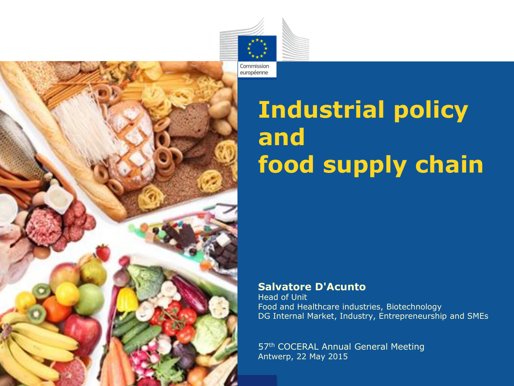

# **Industrial policy and food supply chain**

#### **Salvatore D'Acunto**

Head of Unit Food and Healthcare industries, Biotechnology DG Internal Market, Industry, Entrepreneurship and SMEs

57<sup>th</sup> COCERAL Annual General Meeting Antwerp, 22 May 2015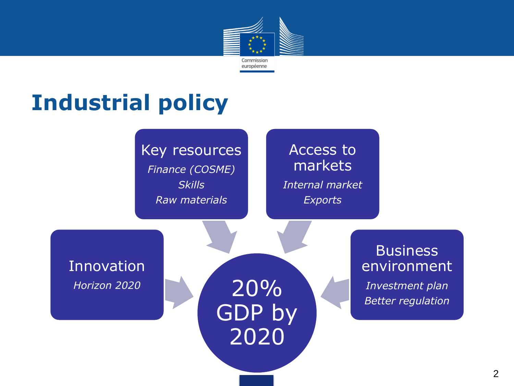

#### **Industrial policy**

Key resources *Finance (COSME) Skills Raw materials*

#### Access to markets *Internal market Exports*

Innovation *Horizon 2020*

20% GDP by 2020

**Business** environment

*Investment plan Better regulation*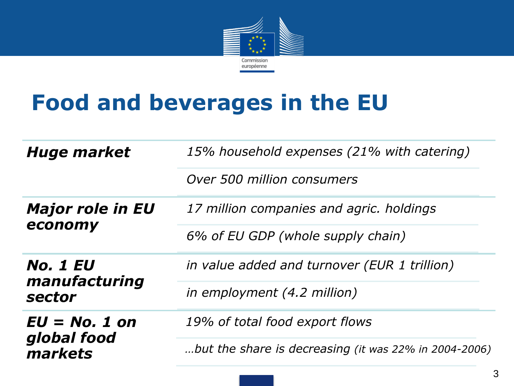

## **Food and beverages in the EU**

| <b>Huge market</b>                                | 15% household expenses (21% with catering)            |
|---------------------------------------------------|-------------------------------------------------------|
|                                                   | Over 500 million consumers                            |
| <b>Major role in EU</b><br>economy                | 17 million companies and agric. holdings              |
|                                                   | 6% of EU GDP (whole supply chain)                     |
| <i><b>No. 1 EU</b></i><br>manufacturing<br>sector | in value added and turnover (EUR 1 trillion)          |
|                                                   | in employment (4.2 million)                           |
| $EU = No. 1 on$<br>global food<br>markets         | 19% of total food export flows                        |
|                                                   | but the share is decreasing (it was 22% in 2004-2006) |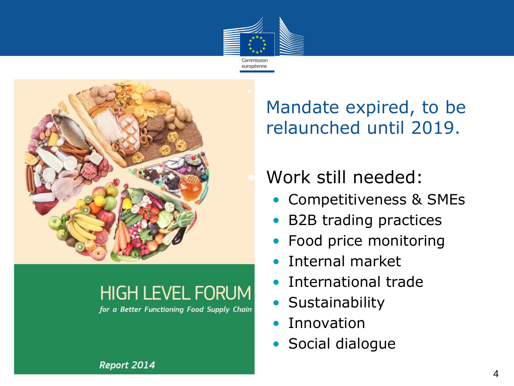



#### **HIGH LEVEL FORUM**

for a Better Functioning Food Supply Chain

Mandate expired, to be relaunched until 2019.

#### [•](http://ec.europa.eu/enterprise/newsroom/cf/itemdetail.cfm?item_id=7838) Work still needed:

- Competitiveness & SMEs
- B2B trading practices
- Food price monitoring
- Internal market
- International trade
- Sustainability
- Innovation
- Social dialogue

Report 2014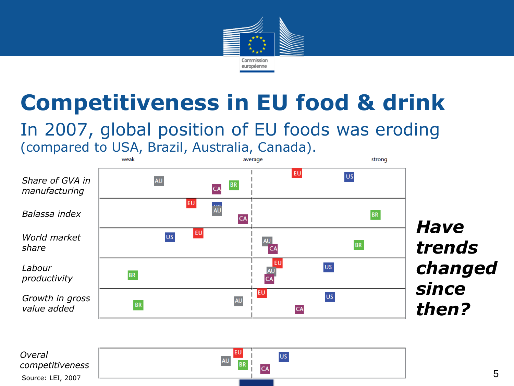

### **Competitiveness in EU food & drink**

#### In 2007, global position of EU foods was eroding (compared to USA, Brazil, Australia, Canada).

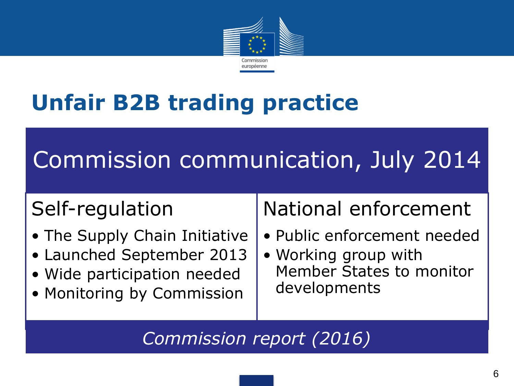

## **Unfair B2B trading practice**

# Commission communication, July 2014

#### Self-regulation

- The Supply Chain Initiative
- Launched September 2013
- Wide participation needed
- Monitoring by Commission

#### National enforcement

- Public enforcement needed
- Working group with Member States to monitor developments

*Commission report (2016)*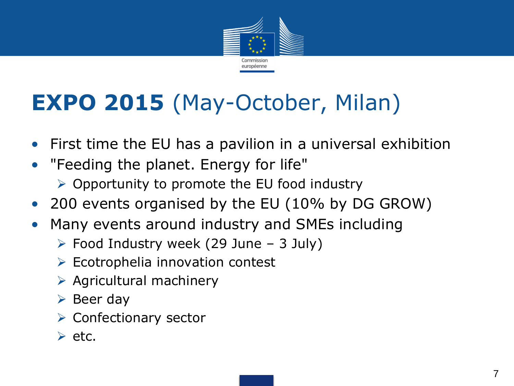

## **EXPO 2015** (May-October, Milan)

- First time the EU has a pavilion in a universal exhibition
- "Feeding the planet. Energy for life"
	- $\triangleright$  Opportunity to promote the EU food industry
- 200 events organised by the EU (10% by DG GROW)
- Many events around industry and SMEs including
	- $\triangleright$  Food Industry week (29 June 3 July)
	- $\triangleright$  Ecotrophelia innovation contest
	- $\triangleright$  Agricultural machinery
	- $\triangleright$  Beer day
	- $\triangleright$  Confectionary sector
	- $\triangleright$  etc.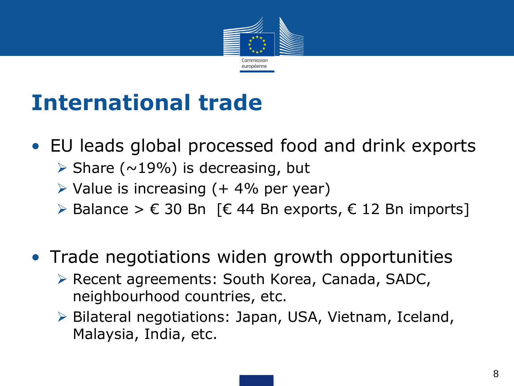

## **International trade**

- EU leads global processed food and drink exports
	- $\triangleright$  Share (~19%) is decreasing, but
	- $\triangleright$  Value is increasing (+ 4% per year)
	- ≻ Balance >  $\epsilon$  30 Bn [ $\epsilon$  44 Bn exports,  $\epsilon$  12 Bn imports]
- Trade negotiations widen growth opportunities
	- ▶ Recent agreements: South Korea, Canada, SADC, neighbourhood countries, etc.
	- Bilateral negotiations: Japan, USA, Vietnam, Iceland, Malaysia, India, etc.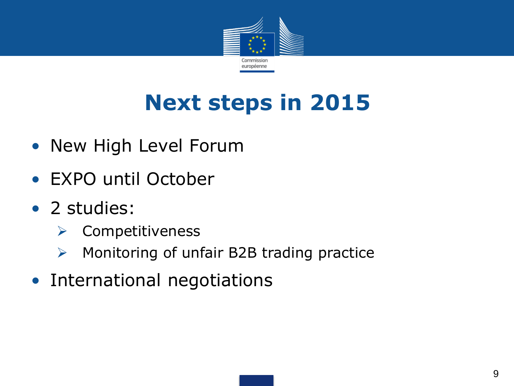

## **Next steps in 2015**

- New High Level Forum
- EXPO until October
- 2 studies:
	- $\triangleright$  Competitiveness
	- $\triangleright$  Monitoring of unfair B2B trading practice
- International negotiations